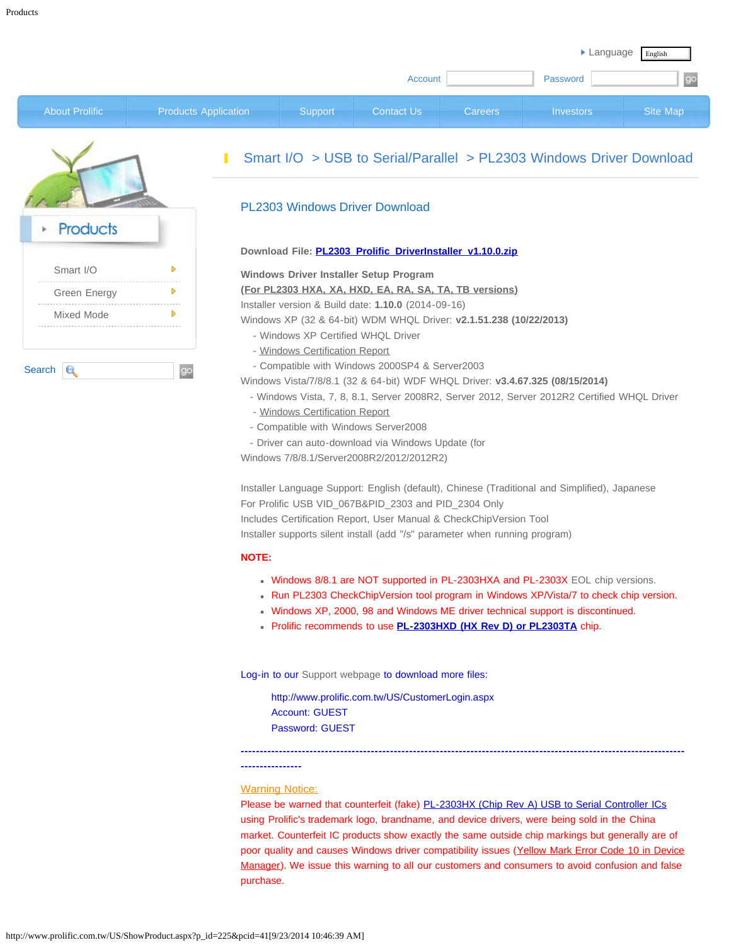|                       |                             |                |                   |                | Language         | English  |
|-----------------------|-----------------------------|----------------|-------------------|----------------|------------------|----------|
|                       |                             |                | Account           |                | Password         | go       |
| <b>About Prolific</b> | <b>Products Application</b> | <b>Support</b> | <b>Contact Us</b> | <b>Careers</b> | <b>Investors</b> | Site Map |

| <b>Products</b>   |  |
|-------------------|--|
| Smart I/O         |  |
| Green Energy      |  |
| <b>Mixed Mode</b> |  |

## [Smart I/O](javascript:void(0)) > [USB to Serial/Parallel](http://www.prolific.com.tw/US/ShowProduct.aspx?pcid=41&showlevel=0041-0041) > [PL2303 Windows Driver Download](javascript:void(0))

## PL2303 Windows Driver Download

#### **Download File: [PL2303\\_Prolific\\_DriverInstaller\\_v1.10.0.zip](http://www.prolific.com.tw/UserFiles/files/PL2303_Prolific_DriverInstaller_v1_10_0.zip)**

#### **Windows Driver Installer Setup Program**

**(For PL2303 HXA, XA, HXD, EA, RA, SA, TA, TB versions)**

Installer version & Build date: **1.10.0** (2014-09-16)

Windows XP (32 & 64-bit) WDM WHQL Driver: **v2.1.51.238 (10/22/2013)**

- Windows XP Certified WHQL Driver
- [Windows Certification Report](https://sysdev.microsoft.com/en-US/Hardware/LogoVerificationReport.aspx?sid=1616428)
- Compatible with Windows 2000SP4 & Server2003

Windows Vista/7/8/8.1 (32 & 64-bit) WDF WHQL Driver: **v3.4.67.325 (08/15/2014)** 

- Windows Vista, 7, 8, 8.1, Server 2008R2, Server 2012, Server 2012R2 Certified WHQL Driver
- [Windows Certification Report](https://sysdev.microsoft.com/en-US/Hardware/LogoVerificationReport.aspx?sid=1679786)
- Compatible with Windows Server2008
- Driver can auto-download via Windows Update (for

Windows 7/8/8.1/Server2008R2/2012/2012R2)

Installer Language Support: English (default), Chinese (Traditional and Simplified), Japanese For Prolific USB VID\_067B&PID\_2303 and PID\_2304 Only Includes Certification Report, User Manual & CheckChipVersion Tool Installer supports silent install (add "/s" parameter when running program)

#### **NOTE:**

- Windows 8/8.1 are NOT supported in PL-2303HXA and PL-2303X [EOL](http://www.prolific.com.tw/US/ShowProduct.aspx?p_id=212&pcid=41) chip versions.
- Run PL2303 CheckChipVersion tool program in Windows XP/Vista/7 to check chip version.
- Windows XP, 2000, 98 and Windows ME driver technical support is discontinued.
- Prolific recommends to use **[PL-2303HXD \(HX Rev D\) or PL2303TA](http://www.prolific.com.tw/US/supportDownload.aspx?FileType=58&FileID=133&pcid=85&Page=0)** chip.

Log-in to our [Support webpage](http://www.prolific.com.tw/US/CustomerLogin.aspx) to download more files:

<http://www.prolific.com.tw/US/CustomerLogin.aspx> Account: GUEST Password: GUEST

# **----------------**

### **Warning Notice:**

Please be warned that counterfeit (fake) PL-2303HX (Chip Rev A) USB to Serial Controller ICs using Prolific's trademark logo, brandname, and device drivers, were being sold in the China market. Counterfeit IC products show exactly the same outside chip markings but generally are of poor quality and causes Windows driver compatibility issues (Yellow Mark Error Code 10 in Device Manager). We issue this warning to all our customers and consumers to avoid confusion and false purchase.

**--------------------------------------------------------------------------------------------------------------------**